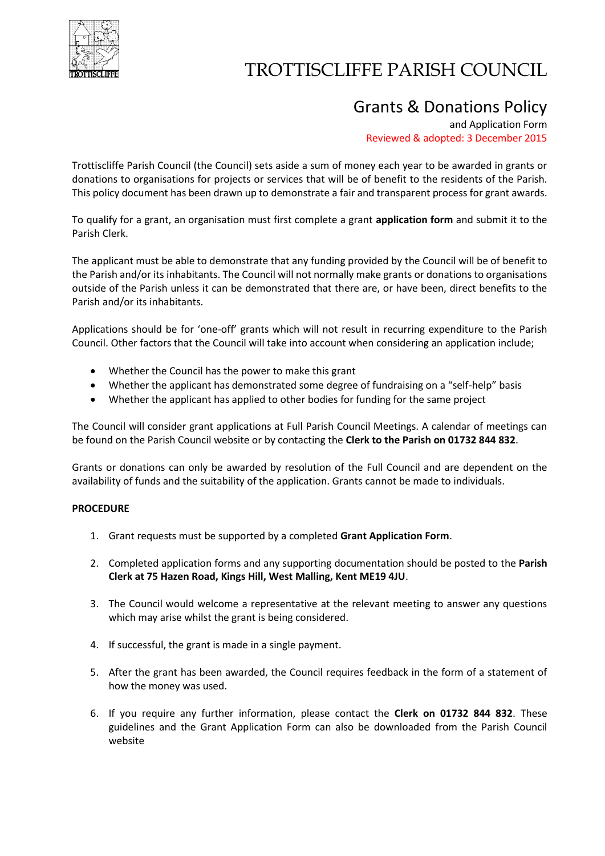

## TROTTISCLIFFE PARISH COUNCIL

### Grants & Donations Policy

and Application Form Reviewed & adopted: 3 December 2015

Trottiscliffe Parish Council (the Council) sets aside a sum of money each year to be awarded in grants or donations to organisations for projects or services that will be of benefit to the residents of the Parish. This policy document has been drawn up to demonstrate a fair and transparent process for grant awards.

To qualify for a grant, an organisation must first complete a grant **application form** and submit it to the Parish Clerk.

The applicant must be able to demonstrate that any funding provided by the Council will be of benefit to the Parish and/or its inhabitants. The Council will not normally make grants or donations to organisations outside of the Parish unless it can be demonstrated that there are, or have been, direct benefits to the Parish and/or its inhabitants.

Applications should be for 'one-off' grants which will not result in recurring expenditure to the Parish Council. Other factors that the Council will take into account when considering an application include;

- Whether the Council has the power to make this grant
- Whether the applicant has demonstrated some degree of fundraising on a "self-help" basis
- Whether the applicant has applied to other bodies for funding for the same project

The Council will consider grant applications at Full Parish Council Meetings. A calendar of meetings can be found on the Parish Council website or by contacting the **Clerk to the Parish on 01732 844 832**.

Grants or donations can only be awarded by resolution of the Full Council and are dependent on the availability of funds and the suitability of the application. Grants cannot be made to individuals.

#### **PROCEDURE**

- 1. Grant requests must be supported by a completed **Grant Application Form**.
- 2. Completed application forms and any supporting documentation should be posted to the **Parish Clerk at 75 Hazen Road, Kings Hill, West Malling, Kent ME19 4JU**.
- 3. The Council would welcome a representative at the relevant meeting to answer any questions which may arise whilst the grant is being considered.
- 4. If successful, the grant is made in a single payment.
- 5. After the grant has been awarded, the Council requires feedback in the form of a statement of how the money was used.
- 6. If you require any further information, please contact the **Clerk on 01732 844 832**. These guidelines and the Grant Application Form can also be downloaded from the Parish Council website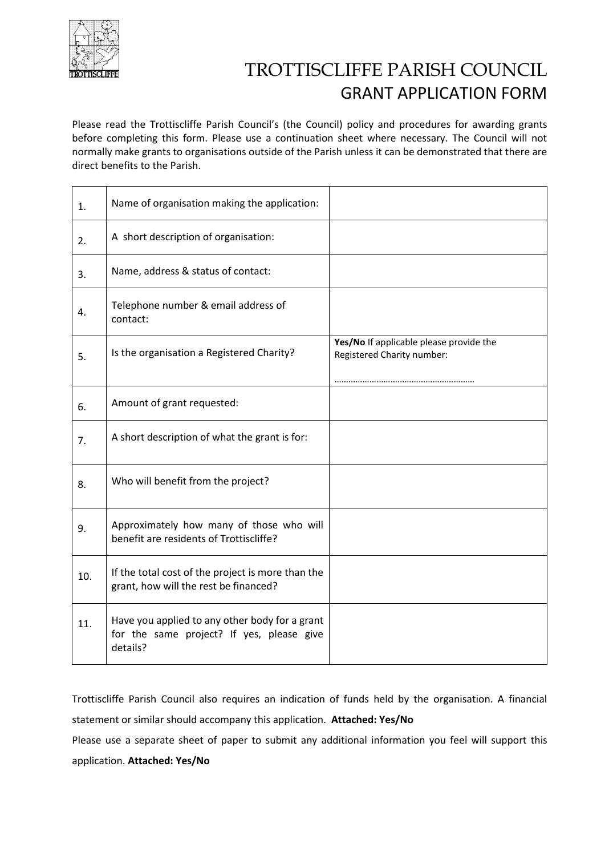

## TROTTISCLIFFE PARISH COUNCIL GRANT APPLICATION FORM

Please read the Trottiscliffe Parish Council's (the Council) policy and procedures for awarding grants before completing this form. Please use a continuation sheet where necessary. The Council will not normally make grants to organisations outside of the Parish unless it can be demonstrated that there are direct benefits to the Parish.

| 1.  | Name of organisation making the application:                                                            |                                                                       |
|-----|---------------------------------------------------------------------------------------------------------|-----------------------------------------------------------------------|
| 2.  | A short description of organisation:                                                                    |                                                                       |
| 3.  | Name, address & status of contact:                                                                      |                                                                       |
| 4.  | Telephone number & email address of<br>contact:                                                         |                                                                       |
| 5.  | Is the organisation a Registered Charity?                                                               | Yes/No If applicable please provide the<br>Registered Charity number: |
| 6.  | Amount of grant requested:                                                                              |                                                                       |
| 7.  | A short description of what the grant is for:                                                           |                                                                       |
| 8.  | Who will benefit from the project?                                                                      |                                                                       |
| 9.  | Approximately how many of those who will<br>benefit are residents of Trottiscliffe?                     |                                                                       |
| 10. | If the total cost of the project is more than the<br>grant, how will the rest be financed?              |                                                                       |
| 11. | Have you applied to any other body for a grant<br>for the same project? If yes, please give<br>details? |                                                                       |

Trottiscliffe Parish Council also requires an indication of funds held by the organisation. A financial statement or similar should accompany this application. **Attached: Yes/No**

Please use a separate sheet of paper to submit any additional information you feel will support this application. **Attached: Yes/No**